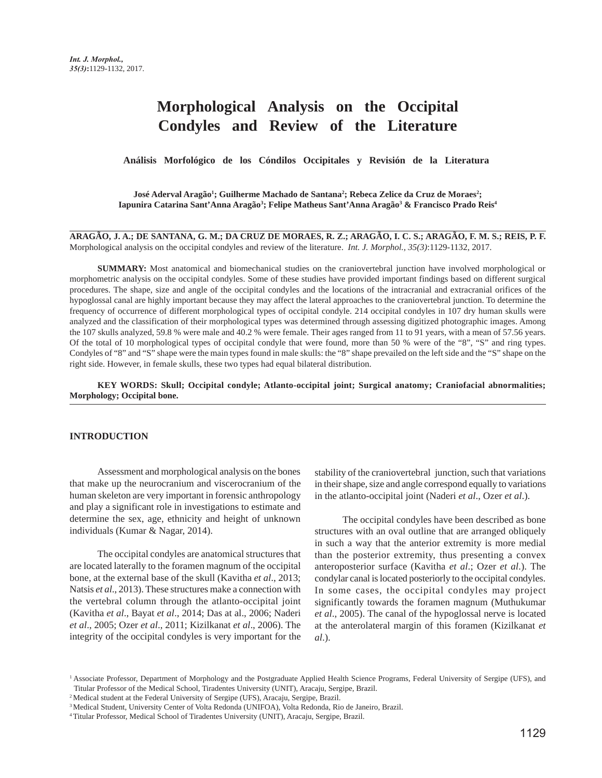# **Morphological Analysis on the Occipital Condyles and Review of the Literature**

 **Análisis Morfológico de los Cóndilos Occipitales y Revisión de la Literatura**

 ${\rm José}\,{\rm Aderval}\,{\rm Arag\~a^1;}\,{\rm Guilherme}\,{\rm Machado}\,{\rm de}\,{\rm Santana^2;}\,{\rm Rebeca}\,{\rm Zelice}\,{\rm da}\,{\rm Cruz}\,{\rm de}\,{\rm Moracs^2;}\,$ Iapunira Catarina Sant'Anna Aragão<sup>3</sup>; Felipe Matheus Sant'Anna Aragão<sup>3</sup> & Francisco Prado Reis<sup>4</sup>

**ARAGÃO, J. A.; DE SANTANA, G. M.; DA CRUZ DE MORAES, R. Z.; ARAGÃO, I. C. S.; ARAGÃO, F. M. S.; REIS, P. F.** Morphological analysis on the occipital condyles and review of the literature. *Int. J. Morphol., 35(3)*:1129-1132, 2017.

**SUMMARY:** Most anatomical and biomechanical studies on the craniovertebral junction have involved morphological or morphometric analysis on the occipital condyles. Some of these studies have provided important findings based on different surgical procedures. The shape, size and angle of the occipital condyles and the locations of the intracranial and extracranial orifices of the hypoglossal canal are highly important because they may affect the lateral approaches to the craniovertebral junction. To determine the frequency of occurrence of different morphological types of occipital condyle. 214 occipital condyles in 107 dry human skulls were analyzed and the classification of their morphological types was determined through assessing digitized photographic images. Among the 107 skulls analyzed, 59.8 % were male and 40.2 % were female. Their ages ranged from 11 to 91 years, with a mean of 57.56 years. Of the total of 10 morphological types of occipital condyle that were found, more than 50 % were of the "8", "S" and ring types. Condyles of "8" and "S" shape were the main types found in male skulls: the "8" shape prevailed on the left side and the "S" shape on the right side. However, in female skulls, these two types had equal bilateral distribution.

**KEY WORDS: Skull; Occipital condyle; Atlanto-occipital joint; Surgical anatomy; Craniofacial abnormalities; Morphology; Occipital bone.**

#### **INTRODUCTION**

Assessment and morphological analysis on the bones that make up the neurocranium and viscerocranium of the human skeleton are very important in forensic anthropology and play a significant role in investigations to estimate and determine the sex, age, ethnicity and height of unknown individuals (Kumar & Nagar, 2014).

The occipital condyles are anatomical structures that are located laterally to the foramen magnum of the occipital bone, at the external base of the skull (Kavitha *et al*., 2013; Natsis *et al*., 2013). These structures make a connection with the vertebral column through the atlanto-occipital joint (Kavitha *et al*., Bayat *et al*., 2014; Das at al., 2006; Naderi *et al*., 2005; Ozer *et al*., 2011; Kizilkanat *et al*., 2006). The integrity of the occipital condyles is very important for the stability of the craniovertebral junction, such that variations in their shape, size and angle correspond equally to variations in the atlanto-occipital joint (Naderi *et al*., Ozer *et al*.).

The occipital condyles have been described as bone structures with an oval outline that are arranged obliquely in such a way that the anterior extremity is more medial than the posterior extremity, thus presenting a convex anteroposterior surface (Kavitha *et al*.; Ozer *et al*.). The condylar canal is located posteriorly to the occipital condyles. In some cases, the occipital condyles may project significantly towards the foramen magnum (Muthukumar *et al*., 2005). The canal of the hypoglossal nerve is located at the anterolateral margin of this foramen (Kizilkanat *et al*.).

<sup>&</sup>lt;sup>1</sup> Associate Professor, Department of Morphology and the Postgraduate Applied Health Science Programs, Federal University of Sergipe (UFS), and Titular Professor of the Medical School, Tiradentes University (UNIT), Aracaju, Sergipe, Brazil.

<sup>&</sup>lt;sup>2</sup> Medical student at the Federal University of Sergipe (UFS), Aracaju, Sergipe, Brazil.

<sup>3</sup> Medical Student, University Center of Volta Redonda (UNIFOA), Volta Redonda, Rio de Janeiro, Brazil.

<sup>4</sup> Titular Professor, Medical School of Tiradentes University (UNIT), Aracaju, Sergipe, Brazil.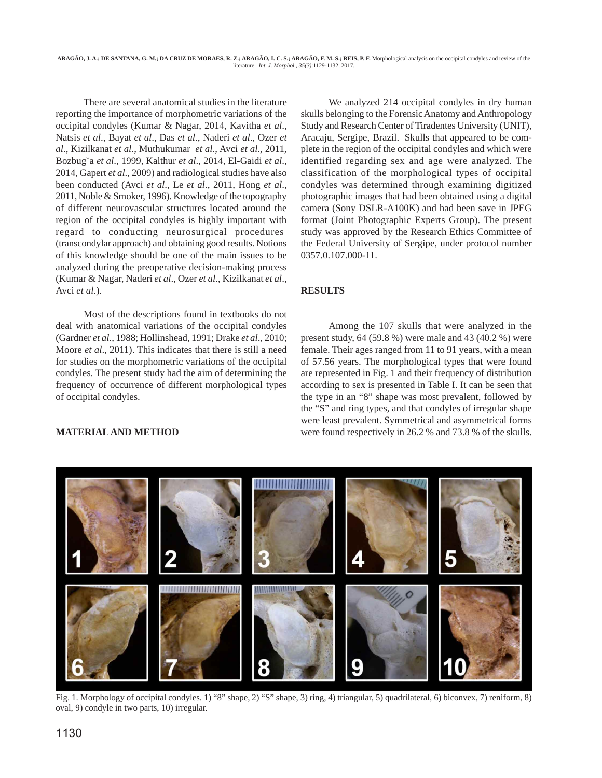There are several anatomical studies in the literature reporting the importance of morphometric variations of the occipital condyles (Kumar & Nagar, 2014, Kavitha *et al*., Natsis *et al*., Bayat *et al*., Das *et al*., Naderi *et al*., Ozer *et al*., Kizilkanat *et al*., Muthukumar *et al*., Avci *et al*., 2011, Bozbug˘a *et al*., 1999, Kalthur *et al*., 2014, El-Gaidi *et al*., 2014, Gapert *et al*., 2009) and radiological studies have also been conducted (Avci *et al*., Le *et al*., 2011, Hong *et al*., 2011, Noble & Smoker, 1996). Knowledge of the topography of different neurovascular structures located around the region of the occipital condyles is highly important with regard to conducting neurosurgical procedures (transcondylar approach) and obtaining good results. Notions of this knowledge should be one of the main issues to be analyzed during the preoperative decision-making process (Kumar & Nagar, Naderi *et al*., Ozer *et al*., Kizilkanat *et al*., Avci *et al*.).

Most of the descriptions found in textbooks do not deal with anatomical variations of the occipital condyles (Gardner *et al*., 1988; Hollinshead, 1991; Drake *et al*., 2010; Moore *et al*., 2011). This indicates that there is still a need for studies on the morphometric variations of the occipital condyles. The present study had the aim of determining the frequency of occurrence of different morphological types of occipital condyles.

We analyzed 214 occipital condyles in dry human skulls belonging to the Forensic Anatomy and Anthropology Study and Research Center of Tiradentes University (UNIT), Aracaju, Sergipe, Brazil. Skulls that appeared to be complete in the region of the occipital condyles and which were identified regarding sex and age were analyzed. The classification of the morphological types of occipital condyles was determined through examining digitized photographic images that had been obtained using a digital camera (Sony DSLR-A100K) and had been save in JPEG format (Joint Photographic Experts Group). The present study was approved by the Research Ethics Committee of the Federal University of Sergipe, under protocol number 0357.0.107.000-11.

## **RESULTS**

Among the 107 skulls that were analyzed in the present study, 64 (59.8 %) were male and 43 (40.2 %) were female. Their ages ranged from 11 to 91 years, with a mean of 57.56 years. The morphological types that were found are represented in Fig. 1 and their frequency of distribution according to sex is presented in Table I. It can be seen that the type in an "8" shape was most prevalent, followed by the "S" and ring types, and that condyles of irregular shape were least prevalent. Symmetrical and asymmetrical forms were found respectively in 26.2 % and 73.8 % of the skulls.

### **MATERIAL AND METHOD**



Fig. 1. Morphology of occipital condyles. 1) "8" shape, 2) "S" shape, 3) ring, 4) triangular, 5) quadrilateral, 6) biconvex, 7) reniform, 8) oval, 9) condyle in two parts, 10) irregular.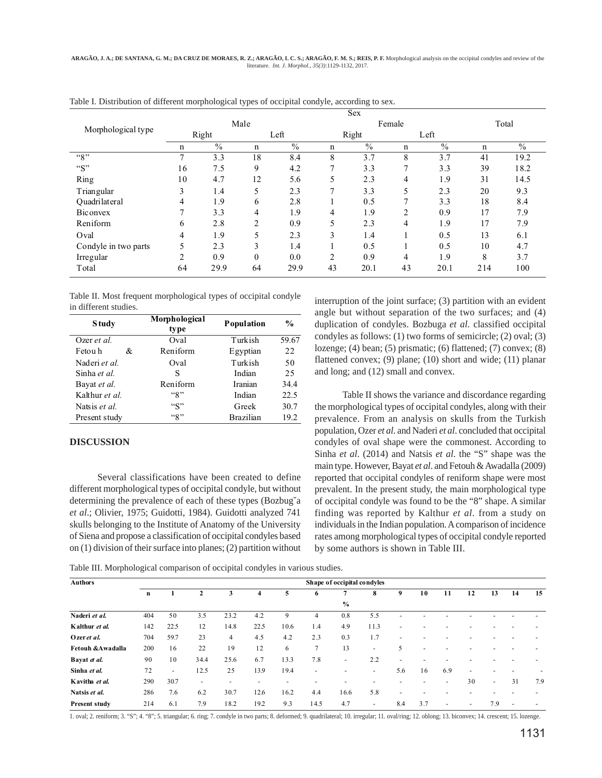| Morphological type   | Male           |               |          |               |                | Female        | Total         |      |             |      |
|----------------------|----------------|---------------|----------|---------------|----------------|---------------|---------------|------|-------------|------|
|                      | Right          |               | Left     |               | Right          |               | Left          |      |             |      |
|                      | $\mathbf n$    | $\frac{0}{0}$ | n        | $\frac{0}{0}$ | n              | $\frac{0}{0}$ | $\mathbf n$   | $\%$ | $\mathbf n$ | $\%$ |
| ``8"                 | 7              | 3.3           | 18       | 8.4           | 8              | 3.7           | 8             | 3.7  | 41          | 19.2 |
| ``S"                 | 16             | 7.5           | 9        | 4.2           | $\overline{ }$ | 3.3           | $\mathcal{I}$ | 3.3  | 39          | 18.2 |
| Ring                 | 10             | 4.7           | 12       | 5.6           | 5              | 2.3           | 4             | 1.9  | 31          | 14.5 |
| Triangular           | 3              | 1.4           | 5        | 2.3           | 7              | 3.3           | 5             | 2.3  | 20          | 9.3  |
| Ouadrilateral        | 4              | 1.9           | 6        | 2.8           |                | 0.5           | 7             | 3.3  | 18          | 8.4  |
| Biconvex             | $\mathcal{I}$  | 3.3           | 4        | 1.9           | 4              | 1.9           | 2             | 0.9  | 17          | 7.9  |
| Reniform             | 6              | 2.8           | 2        | 0.9           | 5              | 2.3           | 4             | 1.9  | 17          | 7.9  |
| Oval                 | 4              | 1.9           | 5        | 2.3           | 3              | 1.4           |               | 0.5  | 13          | 6.1  |
| Condyle in two parts | 5              | 2.3           | 3        | 1.4           |                | 0.5           |               | 0.5  | 10          | 4.7  |
| Irregular            | $\overline{c}$ | 0.9           | $\Omega$ | 0.0           | $\overline{c}$ | 0.9           | 4             | 1.9  | 8           | 3.7  |
| Total                | 64             | 29.9          | 64       | 29.9          | 43             | 20.1          | 43            | 20.1 | 214         | 100  |

Table I. Distribution of different morphological types of occipital condyle, according to sex.

Table II. Most frequent morphological types of occipital condyle in different studies.

| <b>Study</b>       | Morphological<br>type | Population       | $\frac{0}{0}$ |
|--------------------|-----------------------|------------------|---------------|
| Ozer <i>et al.</i> | Oval                  | Turkish          | 59.67         |
| Fetou h<br>&       | Reniform              | Egyptian         | 22            |
| Naderi et al.      | Oval                  | Turkish          | 50            |
| Sinha et al.       | S                     | Indian           | 25            |
| Bayat et al.       | Reniform              | <b>Iranian</b>   | 34.4          |
| Kalthur et al.     | "8"                   | Indian           | 22.5          |
| Natsis et al.      | "S"                   | Greek            | 30.7          |
| Present study      | ``8"                  | <b>Brazilian</b> | 19.2          |

#### **DISCUSSION**

Several classifications have been created to define different morphological types of occipital condyle, but without determining the prevalence of each of these types (Bozbug˘a *et al*.; Olivier, 1975; Guidotti, 1984). Guidotti analyzed 741 skulls belonging to the Institute of Anatomy of the University of Siena and propose a classification of occipital condyles based on (1) division of their surface into planes; (2) partition without interruption of the joint surface; (3) partition with an evident angle but without separation of the two surfaces; and (4) duplication of condyles. Bozbuga *et al*. classified occipital condyles as follows: (1) two forms of semicircle; (2) oval; (3) lozenge; (4) bean; (5) prismatic; (6) flattened; (7) convex; (8) flattened convex; (9) plane; (10) short and wide; (11) planar and long; and (12) small and convex.

Table II shows the variance and discordance regarding the morphological types of occipital condyles, along with their prevalence. From an analysis on skulls from the Turkish population, Ozer *et al*. and Naderi *et al*. concluded that occipital condyles of oval shape were the commonest. According to Sinha *et al*. (2014) and Natsis *et al*. the "S" shape was the main type. However, Bayat *et al*. and Fetouh & Awadalla (2009) reported that occipital condyles of reniform shape were most prevalent. In the present study, the main morphological type of occipital condyle was found to be the "8" shape. A similar finding was reported by Kalthur *et al*. from a study on individuals in the Indian population. A comparison of incidence rates among morphological types of occipital condyle reported by some authors is shown in Table III.

Table III. Morphological comparison of occipital condyles in various studies.

| <b>Authors</b>       | Shape of occipital condyles |        |              |                          |                          |                          |                          |               |      |                          |                          |     |                          |                          |                          |     |
|----------------------|-----------------------------|--------|--------------|--------------------------|--------------------------|--------------------------|--------------------------|---------------|------|--------------------------|--------------------------|-----|--------------------------|--------------------------|--------------------------|-----|
|                      | n                           |        | $\mathbf{2}$ | 3                        | 4                        | 5                        | 6                        |               | 8    | 9                        | 10                       | 11  | 12                       | 13                       | 14                       | 15  |
|                      |                             |        |              |                          |                          |                          |                          | $\frac{6}{6}$ |      |                          |                          |     |                          |                          |                          |     |
| Naderi et al.        | 404                         | 50     | 3.5          | 23.2                     | 4.2                      | 9                        | $\overline{4}$           | 0.8           | 5.5  |                          |                          |     |                          |                          |                          |     |
| Kalthur et al.       | 142                         | 22.5   | 12           | 14.8                     | 22.5                     | 10.6                     | 1.4                      | 4.9           | 11.3 | -                        |                          |     |                          |                          |                          |     |
| Ozer et al.          | 704                         | 59.7   | 23           | $\overline{4}$           | 4.5                      | 4.2                      | 2.3                      | 0.3           | 1.7  | ۰                        |                          |     |                          |                          |                          |     |
| Fetouh &Awadalla     | 200                         | 16     | 22           | 19                       | 12                       | 6                        | 7                        | 13            | ٠    | 5                        | ٠                        |     |                          |                          |                          |     |
| Bayat et al.         | 90                          | 10     | 34.4         | 25.6                     | 6.7                      | 13.3                     | 7.8                      | ٠             | 2.2  | -                        |                          |     |                          |                          |                          |     |
| Sinha et al.         | 72                          | $\sim$ | 12.5         | 25                       | 13.9                     | 19.4                     | $\overline{\phantom{a}}$ | -             | ۰    | 5.6                      | 16                       | 6.9 | -                        |                          |                          |     |
| Kavitha et al.       | 290                         | 30.7   | ۰            | $\overline{\phantom{a}}$ | $\overline{\phantom{a}}$ | $\overline{\phantom{a}}$ |                          | -             |      |                          | $\overline{\phantom{a}}$ | ٠   | 30                       | $\overline{\phantom{a}}$ | 31                       | 7.9 |
| Natsis et al.        | 286                         | 7.6    | 6.2          | 30.7                     | 12.6                     | 16.2                     | 4.4                      | 16.6          | 5.8  | $\overline{\phantom{a}}$ |                          |     |                          |                          |                          |     |
| <b>Present study</b> | 214                         | 6.1    | 7.9          | 18.2                     | 19.2                     | 9.3                      | 14.5                     | 4.7           | ٠    | 8.4                      | 3.7                      | ۰   | $\overline{\phantom{a}}$ | 7.9                      | $\overline{\phantom{a}}$ |     |

1. oval; 2. reniform; 3. "S"; 4. "8"; 5. triangular; 6. ring; 7. condyle in two parts; 8. deformed; 9. quadrilateral; 10. irregular; 11. oval/ring; 12. oblong; 13. biconvex; 14. crescent; 15. lozenge.